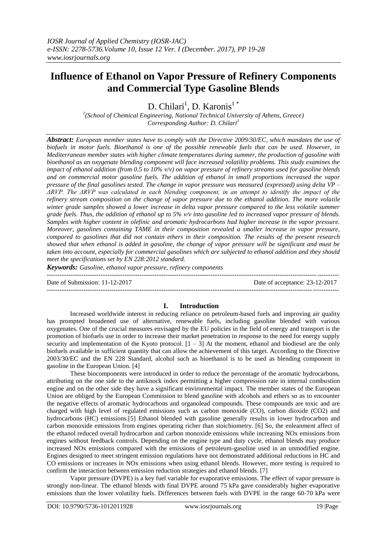# **Influence of Ethanol on Vapor Pressure of Refinery Components and Commercial Type Gasoline Blends**

D. Chilari<sup>1</sup>, D. Karonis<sup>1</sup>\*

*1 (School of Chemical Engineering, National Technical University of Athens, Greece) Corresponding Author: D. Chilari<sup>1</sup>*

*Abstract: European member states have to comply with the Directive 2009/30/EC, which mandates the use of biofuels in motor fuels. Bioethanol is one of the possible renewable fuels that can be used. However, in Mediterranean member states with higher climate temperatures during summer, the production of gasoline with bioethanol as an oxygenate blending component will face increased volatility problems. This study examines the impact of ethanol addition (from 0.5 to 10% v/v) on vapor pressure of refinery streams used for gasoline blends and on commercial motor gasoline fuels. The addition of ethanol in small proportions increased the vapor pressure of the final gasolines tested. The change in vapor pressure was measured (expressed) using delta VP – ΔRVP. The ΔRVP was calculated in each blending component, in an attempt to identify the impact of the refinery stream composition on the change of vapor pressure due to the ethanol addition. The more volatile winter grade samples showed a lower increase in delta vapor pressure compared to the less volatile summer grade fuels. Thus, the addition of ethanol up to 5% v/v into gasoline led to increased vapor pressure of blends. Samples with higher content in olefinic and aromatic hydrocarbons had higher increase in the vapor pressure. Moreover, gasolines containing TAME in their composition revealed a smaller increase in vapor pressure, compared to gasolines that did not contain ethers in their composition. The results of the present research showed that when ethanol is added in gasoline, the change of vapor pressure will be significant and must be taken into account, especially for commercial gasolines which are subjected to ethanol addition and they should meet the specifications set by EN 228:2012 standard.*

*Keywords: Gasoline, ethanol vapor pressure, refinery components* 

--------------------------------------------------------------------------------------------------------------------------------------- Date of Submission: 11-12-2017 Date of acceptance: 23-12-2017 ---------------------------------------------------------------------------------------------------------------------------------------

# **I. Introduction**

Increased worldwide interest in reducing reliance on petroleum-based fuels and improving air quality has prompted broadened use of alternative, renewable fuels, including gasoline blended with various oxygenates. One of the crucial measures envisaged by the EU policies in the field of energy and transport is the promotion of biofuels use in order to increase their market penetration in response to the need for energy supply security and implementation of the Kyoto protocol.  $[1 - 3]$  At the moment, ethanol and biodiesel are the only biofuels available in sufficient quantity that can allow the achievement of this target. According to the Directive 2003/30/EC and the EN 228 Standard, alcohol such as bioethanol is to be used as blending component in gasoline in the European Union. [4]

These biocomponents were introduced in order to reduce the percentage of the aromatic hydrocarbons, attributing on the one side to the antiknock index permitting a higher compression rate in internal combustion engine and on the other side they have a significant environmental impact. The member states of the European Union are obliged by the European Commission to blend gasoline with alcohols and ethers so as to encounter the negative effects of aromatic hydrocarbons and organolead compounds. These compounds are toxic and are charged with high level of regulated emissions such as carbon monoxide (CO), carbon dioxide (CO2) and hydrocarbons (HC) emissions.[5] Ethanol blended with gasoline generally results in lower hydrocarbon and carbon monoxide emissions from engines operating richer than stoichiometry. [6] So, the enleanment affect of the ethanol reduced overall hydrocarbon and carbon monoxide emissions while increasing NOx emissions from engines without feedback controls. Depending on the engine type and duty cycle, ethanol blends may produce increased NOx emissions compared with the emissions of petroleum-gasoline used in an unmodified engine. Engines designed to meet stringent emission regulations have not demonstrated additional reductions in HC and CO emissions or increases in NOx emissions when using ethanol blends. However, more testing is required to confirm the interaction between emission reduction strategies and ethanol blends. [7]

Vapor pressure (DVPE) is a key fuel variable for evaporative emissions. The effect of vapor pressure is strongly non-linear. The ethanol blends with final DVPE around 75 kPa gave considerably higher evaporative emissions than the lower volatility fuels. Differences between fuels with DVPE in the range 60-70 kPa were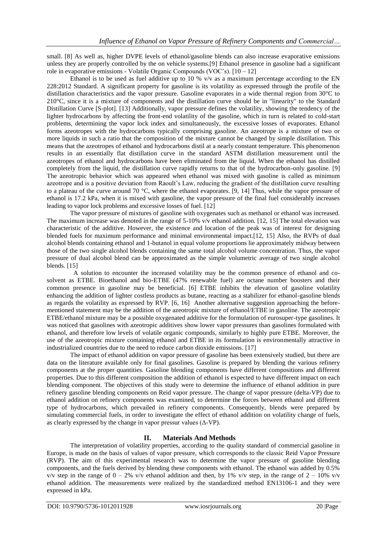small. [8] As well as, higher DVPE levels of ethanol/gasoline blends can also increase evaporative emissions unless they are properly controlled by the on vehicle systems.[9] Ethanol presence in gasoline had a significant role in evaporative emissions - Volatile Organic Compounds (VOC's). [10 – 12]

Ethanol is to be used as fuel additive up to 10 %  $v/v$  as a maximum percentage according to the EN 228:2012 Standard. A significant property for gasoline is its volatility as expressed through the profile of the distillation characteristics and the vapor pressure. Gasoline evaporates in a wide thermal region from 30°C to 210°C, since it is a mixture of components and the distillation curve should be in "linearity" to the Standard Distillation Curve [S-plot]. [13] Additionally, vapor pressure defines the volatility, showing the tendency of the lighter hydrocarbons by affecting the front-end volatility of the gasoline, which in turn is related to cold-start problems, determining the vapor lock index and simultaneously, the excessive losses of evaporates. Ethanol forms azeotropes with the hydrocarbons typically comprising gasoline. An azeotrope is a mixture of two or more liquids in such a ratio that the composition of the mixture cannot be changed by simple distillation. This means that the azeotropes of ethanol and hydrocarbons distil at a nearly constant temperature. This phenomenon results in an essentially flat distillation curve in the standard ASTM distillation measurement until the azeotropes of ethanol and hydrocarbons have been eliminated from the liquid. When the ethanol has distilled completely from the liquid, the distillation curve rapidly returns to that of the hydrocarbon-only gasoline. [9] The azeotropic behavior which was appeared when ethanol was mixed with gasoline is called as minimum azeotrope and is a positive deviation from Raoult's Law, reducing the gradient of the distillation curve resulting to a plateau of the curve around 70 °C, where the ethanol evaporates. [9, 14] Thus, while the vapor pressure of ethanol is 17.2 kPa, when it is mixed with gasoline, the vapor pressure of the final fuel considerably increases leading to vapor lock problems and excessive losses of fuel. [12]

The vapor pressure of mixtures of gasoline with oxygenates such as methanol or ethanol was increased. The maximum increase was denoted in the range of 5-10% v/v ethanol addition. [12, 15] The total elevation was characteristic of the additive. However, the existence and location of the peak was of interest for designing blended fuels for maximum performance and minimal environmental impact.[12, 15] Also, the RVPs of dual alcohol blends containing ethanol and 1-butanol in equal volume proportions lie approximately midway between those of the two single alcohol blends containing the same total alcohol volume concentration. Thus, the vapor pressure of dual alcohol blend can be approximated as the simple volumetric average of two single alcohol blends. [15]

 A solution to encounter the increased volatility may be the common presence of ethanol and cosolvent as ETBE. Bioethanol and bio-ETBE (47% renewable fuel) are octane number boosters and their common presence in gasoline may be beneficial. [6] ETBE inhibits the elevation of gasoline volatility enhancing the addition of lighter costless products as butane, reacting as a stabilizer for ethanol-gasoline blends as regards the volatility as expressed by RVP. [6, 16] Another alternative suggestion approaching the beforementioned statement may be the addition of the azeotropic mixture of ethanol/ETBE in gasoline. The azeotropic ETBE/ethanol mixture may be a possible oxygenated additive for the formulation of eurosuper-type gasolines. It was noticed that gasolines with azeotropic additives show lower vapor pressures than gasolines formulated with ethanol, and therefore low levels of volatile organic compounds, similarly to highly pure ETBE. Moreover, the use of the azeotropic mixture containing ethanol and ETBE in its formulation is environmentally attractive in industrialized countries due to the need to reduce carbon dioxide emissions. [17]

The impact of ethanol addition on vapor pressure of gasoline has been extensively studied, but there are data on the literature available only for final gasolines. Gasoline is prepared by blending the various refinery components at the proper quantities. Gasoline blending components have different compositions and different properties. Due to this different composition the addition of ethanol is expected to have different impact on each blending component. The objectives of this study were to determine the influence of ethanol addition in pure refinery gasoline blending components on Reid vapor pressure. The change of vapor pressure (delta-VP) due to ethanol addition on refinery components was examined, to determine the forces between ethanol and different type of hydrocarbons, which prevailed in refinery components. Consequently, blends were prepared by simulating commercial fuels, in order to investigate the effect of ethanol addition on volatility change of fuels, as clearly expressed by the change in vapor pressur values  $(Δ-VP)$ .

# **II. Materials And Methods**

The interpretation of volatility properties, according to the quality standard of commercial gasoline in Europe, is made on the basis of values of vapor pressure, which corresponds to the classic Reid Vapor Pressure (RVP). The aim of this experimental research was to determine the vapor pressure of gasoline blending components, and the fuels derived by blending these components with ethanol. The ethanol was added by 0.5% v/v step in the range of  $0 - 2\%$  v/v ethanol addition and then, by 1% v/v step, in the range of  $2 - 10\%$  v/v ethanol addition. The measurements were realized by the standardized method EN13106-1 and they were expressed in kPa.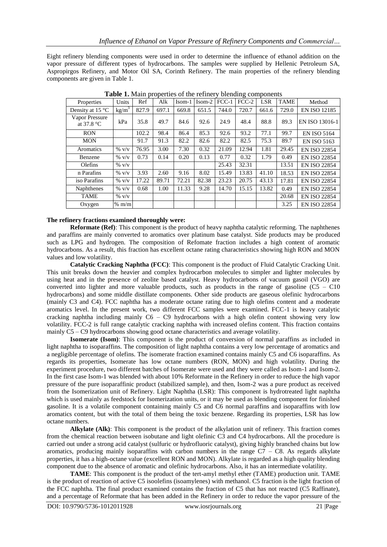Eight refinery blending components were used in order to determine the influence of ethanol addition on the vapor pressure of different types of hydrocarbons. The samples were supplied by Hellenic Petroleum SA, Aspropirgos Refinery, and Motor Oil SA, Corinth Refinery. The main properties of the refinery blending components are given in Table 1.

| Properties                             | Units             | Ref   | Alk   | $Isom-1$ | $Isom-2$ | $FCC-1$ | ັ<br>$FCC-2$ | <b>LSR</b> | <b>TAME</b> | Method              |
|----------------------------------------|-------------------|-------|-------|----------|----------|---------|--------------|------------|-------------|---------------------|
| Density at 15 $\degree$ C              | kg/m <sup>3</sup> | 827.9 | 697.1 | 669.8    | 651.5    | 744.0   | 720.7        | 661.6      | 729.0       | <b>EN ISO 12185</b> |
| Vapor Pressure<br>at $37.8 \text{ °C}$ | kPa               | 35.8  | 49.7  | 84.6     | 92.6     | 24.9    | 48.4         | 88.8       | 89.3        | EN ISO 13016-1      |
| <b>RON</b>                             |                   | 102.2 | 98.4  | 86.4     | 85.3     | 92.6    | 93.2         | 77.1       | 99.7        | <b>EN ISO 5164</b>  |
| <b>MON</b>                             |                   | 91.7  | 91.3  | 82.2     | 82.6     | 82.2    | 82.5         | 75.3       | 89.7        | <b>EN ISO 5163</b>  |
| Aromatics                              | $\%$ v/v          | 76.95 | 3.00  | 7.30     | 0.32     | 21.09   | 12.94        | 1.81       | 29.45       | <b>EN ISO 22854</b> |
| Benzene                                | $%$ v/v           | 0.73  | 0.14  | 0.20     | 0.13     | 0.77    | 0.32         | 1.79       | 0.49        | <b>EN ISO 22854</b> |
| Olefins                                | $%$ v/v           |       |       |          |          | 25.43   | 32.31        |            | 13.51       | <b>EN ISO 22854</b> |
| n Parafins                             | $\%$ v/v          | 3.93  | 2.60  | 9.16     | 8.02     | 15.49   | 13.83        | 41.10      | 18.53       | <b>EN ISO 22854</b> |
| iso Parafins                           | $%$ v/v           | 17.22 | 89.71 | 72.21    | 82.38    | 23.23   | 20.75        | 43.13      | 17.81       | <b>EN ISO 22854</b> |
| <b>Naphthenes</b>                      | $\%$ v/v          | 0.68  | 1.00  | 11.33    | 9.28     | 14.70   | 15.15        | 13.82      | 0.49        | <b>EN ISO 22854</b> |
| <b>TAME</b>                            | $\%$ v/v          |       |       |          |          |         |              |            | 20.68       | <b>EN ISO 22854</b> |
| Oxygen                                 | $%$ m/m           |       |       |          |          |         |              |            | 3.25        | <b>EN ISO 22854</b> |

**Table 1.** Main properties of the refinery blending components

# **The refinery fractions examined thoroughly were:**

**Reformate (Ref)**: This component is the product of heavy naphtha catalytic reforming. The naphthenes and paraffins are mainly converted to aromatics over platinum base catalyst. Side products may be produced such as LPG and hydrogen. The composition of Refomate fraction includes a high content of aromatic hydrocarbons. As a result, this fraction has excellent octane rating characteristics showing high RON and MON values and low volatility.

**Catalytic Cracking Naphtha (FCC)**: This component is the product of Fluid Catalytic Cracking Unit. This unit breaks down the heavier and complex hydrocarbon molecules to simpler and lighter molecules by using heat and in the presence of zeolite based catalyst. Heavy hydrocarbons of vacuum gasoil (VGO) are converted into lighter and more valuable products, such as products in the range of gasoline  $(C5 - C10)$ hydrocarbons) and some middle distillate components. Other side products are gaseous olefinic hydrocarbons (mainly C3 and C4). FCC naphtha has a moderate octane rating due to high olefins content and a moderate aromatics level. In the present work, two different FCC samples were examined. FCC-1 is heavy catalytic cracking naphtha including mainly  $C6 - C9$  hydrocarbons with a high olefin content showing very low volatility. FCC-2 is full range catalytic cracking naphtha with increased olefins content. This fraction contains mainly C5 – C9 hydrocarbons showing good octane characteristics and average volatility.

**Isomerate (Isom)**: This component is the product of conversion of normal paraffins as included in light naphtha to isoparaffins. The composition of light naphtha contains a very low percentage of aromatics and a negligible percentage of olefins. The isomerate fraction examined contains mainly C5 and C6 isoparaffins. As regards its properties, Isomerate has low octane numbers (RON, MON) and high volatility. During the experiment procedure, two different batches of Isomerate were used and they were called as Isom-1 and Isom-2. In the first case Isom-1 was blended with about 10% Reformate in the Refinery in order to reduce the high vapor pressure of the pure isoparaffinic product (stabilized sample), and then, Isom-2 was a pure product as received from the Isomerization unit of Refinery. Light Naphtha (LSR): This component is hydrotreated light naphtha which is used mainly as feedstock for Isomerization units, or it may be used as blending component for finished gasoline. It is a volatile component containing mainly C5 and C6 normal paraffins and isoparaffins with low aromatics content, but with the total of them being the toxic benzene. Regarding its properties, LSR has low octane numbers.

**Alkylate (Alk)**: This component is the product of the alkylation unit of refinery. This fraction comes from the chemical reaction between isobutane and light olefinic C3 and C4 hydrocarbons. All the procedure is carried out under a strong acid catalyst (sulfuric or hydrofluoric catalyst), giving highly branched chains but low aromatics, producing mainly isoparaffins with carbon numbers in the range  $C7 - C8$ . As regards alkylate properties, it has a high-octane value (excellent RON and MON). Alkylate is regarded as a high quality blending component due to the absence of aromatic and olefinic hydrocarbons. Also, it has an intermediate volatility.

**TAME**: This component is the product of the tert-amyl methyl ether (TAME) production unit. TAME is the product of reaction of active C5 isoolefins (isoamylenes) with methanol. C5 fraction is the light fraction of the FCC naphtha. The final product examined contains the fraction of C5 that has not reacted (C5 Raffinate), and a percentage of Reformate that has been added in the Refinery in order to reduce the vapor pressure of the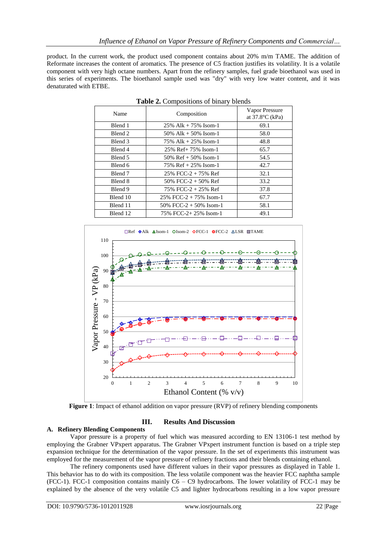product. In the current work, the product used component contains about 20% m/m TAME. The addition of Reformate increases the content of aromatics. The presence of C5 fraction justifies its volatility. It is a volatile component with very high octane numbers. Apart from the refinery samples, fuel grade bioethanol was used in this series of experiments. The bioethanol sample used was "dry" with very low water content, and it was denaturated with ETBE.

| Name     | Composition               | Vapor Pressure<br>at $37.8$ °C (kPa) |  |  |  |
|----------|---------------------------|--------------------------------------|--|--|--|
| Blend 1  | $25\%$ Alk + 75% Isom-1   | 69.1                                 |  |  |  |
| Blend 2  | 50% Alk $+$ 50% Isom-1    | 58.0                                 |  |  |  |
| Blend 3  | 75% Alk $+25%$ Isom-1     | 48.8                                 |  |  |  |
| Blend 4  | 25% Ref+ 75% Isom-1       | 65.7                                 |  |  |  |
| Blend 5  | 50% Ref $+$ 50% Isom-1    | 54.5                                 |  |  |  |
| Blend 6  | 75% $Ref + 25%$ Isom-1    | 42.7                                 |  |  |  |
| Blend 7  | 25% FCC-2 + 75% Ref       | 32.1                                 |  |  |  |
| Blend 8  | 50% FCC-2 + 50% Ref       | 33.2                                 |  |  |  |
| Blend 9  | 75% FCC-2 + 25% Ref       | 37.8                                 |  |  |  |
| Blend 10 | $25\%$ FCC-2 + 75% Isom-1 | 67.7                                 |  |  |  |
| Blend 11 | 50% FCC-2 + 50% Isom-1    | 58.1                                 |  |  |  |
| Blend 12 | 75% FCC-2+25% Isom-1      | 49.1                                 |  |  |  |

**Table 2.** Compositions of binary blends



**Figure 1**: Impact of ethanol addition on vapor pressure (RVP) of refinery blending components

#### **III. Results And Discussion**

#### **A. Refinery Blending Components**

Vapor pressure is a property of fuel which was measured according to EN 13106-1 test method by employing the Grabner VPxpert apparatus. The Grabner VPxpert instrument function is based on a triple step expansion technique for the determination of the vapor pressure. In the set of experiments this instrument was employed for the measurement of the vapor pressure of refinery fractions and their blends containing ethanol.

The refinery components used have different values in their vapor pressures as displayed in Table 1. This behavior has to do with its composition. The less volatile component was the heavier FCC naphtha sample (FCC-1). FCC-1 composition contains mainly C6 – C9 hydrocarbons. The lower volatility of FCC-1 may be explained by the absence of the very volatile C5 and lighter hydrocarbons resulting in a low vapor pressure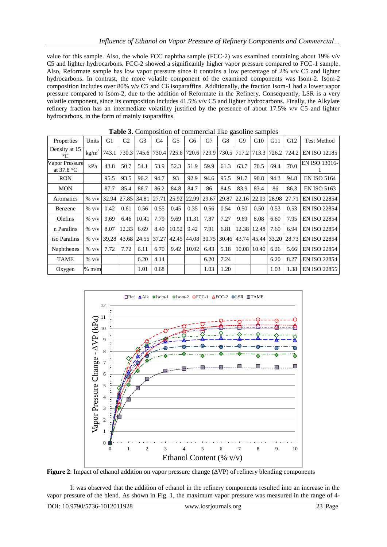value for this sample. Also, the whole FCC naphtha sample (FCC-2) was examined containing about 19% v/v C5 and lighter hydrocarbons. FCC-2 showed a significantly higher vapor pressure compared to FCC-1 sample. Also, Reformate sample has low vapor pressure since it contains a low percentage of 2% v/v C5 and lighter hydrocarbons. In contrast, the more volatile component of the examined components was Isom-2. Isom-2 composition includes over 80% v/v C5 and C6 isoparaffins. Additionally, the fraction Isom-1 had a lower vapor pressure compared to Isom-2, due to the addition of Reformate in the Refinery. Consequently, LSR is a very volatile component, since its composition includes 41.5% v/v C5 and lighter hydrocarbons. Finally, the Alkylate refinery fraction has an intermediate volatility justified by the presence of about 17.5% v/v C5 and lighter hydrocarbons, in the form of mainly isoparaffins.

| Properties                     | Units             | G1    | G2          | G3    | G4                      | G <sub>5</sub> | G6    | G7    | G8    | G <sub>9</sub>                | G10   | G11               | G12  | <b>Test Method</b>  |
|--------------------------------|-------------------|-------|-------------|-------|-------------------------|----------------|-------|-------|-------|-------------------------------|-------|-------------------|------|---------------------|
| Density at 15<br>$^{\circ}C$   | kg/m <sup>3</sup> | 743.1 |             |       | 730.3 745.6 730.4 725.6 |                |       |       |       | 720.6 729.9 730.5 717.2       |       | 713.3 726.2 724.2 |      | <b>EN ISO 12185</b> |
| Vapor Pressure<br>at $37.8 °C$ | kPa               | 43.8  | 50.7        | 54.1  | 53.9                    | 52.3           | 51.9  | 59.9  | 61.3  | 63.7                          | 70.5  | 69.4              | 70.0 | EN ISO 13016-       |
| <b>RON</b>                     |                   | 95.5  | 93.5        | 96.2  | 94.7                    | 93             | 92.9  | 94.6  | 95.5  | 91.7                          | 90.8  | 94.3              | 94.8 | <b>EN ISO 5164</b>  |
| <b>MON</b>                     |                   | 87.7  | 85.4        | 86.7  | 86.2                    | 84.8           | 84.7  | 86    | 84.5  | 83.9                          | 83.4  | 86                | 86.3 | <b>EN ISO 5163</b>  |
| Aromatics                      | $\%$ V/V          | 32.94 | 27.85       | 34.81 | 27.71                   | 25.92          | 22.99 | 29.67 | 29.87 | 22.16                         | 22.09 | 28.98 27.71       |      | <b>EN ISO 22854</b> |
| Benzene                        | $\%$ v/v          | 0.42  | 0.61        | 0.56  | 0.55                    | 0.45           | 0.35  | 0.56  | 0.54  | 0.50                          | 0.50  | 0.53              | 0.53 | <b>EN ISO 22854</b> |
| Olefins                        | $\%$ v/v          | 9.69  | 6.46        | 10.41 | 7.79                    | 9.69           | 11.31 | 7.87  | 7.27  | 9.69                          | 8.08  | 6.60              | 7.95 | <b>EN ISO 22854</b> |
| n Parafins                     | $\%$ v/v          | 8.07  | 12.33       | 6.69  | 8.49                    | 10.52          | 9.42  | 7.91  | 6.81  | 12.38                         | 12.48 | 7.60              | 6.94 | <b>EN ISO 22854</b> |
| iso Parafins                   | $\%$ V/V          | 39.28 | 43.68 24.55 |       | 37.27                   | 42.45          | 44.08 | 30.75 |       | 30.46 43.74 45.44 33.20 28.73 |       |                   |      | <b>EN ISO 22854</b> |
| Naphthenes                     | $\%$ v/v          | 7.72  | 7.72        | 6.11  | 6.70                    | 9.42           | 10.02 | 6.43  | 5.18  | 10.08                         | 10.40 | 6.26              | 5.66 | <b>EN ISO 22854</b> |
| <b>TAME</b>                    | $\%$ v/v          |       |             | 6.20  | 4.14                    |                |       | 6.20  | 7.24  |                               |       | 6.20              | 8.27 | <b>EN ISO 22854</b> |
| Oxygen                         | $%$ m/m           |       |             | 1.01  | 0.68                    |                |       | 1.03  | 1.20  |                               |       | 1.03              | 1.38 | <b>EN ISO 22855</b> |

**Table 3.** Composition of commercial like gasoline samples



**Figure 2**: Impact of ethanol addition on vapor pressure change (ΔVP) of refinery blending components

It was observed that the addition of ethanol in the refinery components resulted into an increase in the vapor pressure of the blend. As shown in Fig. 1, the maximum vapor pressure was measured in the range of 4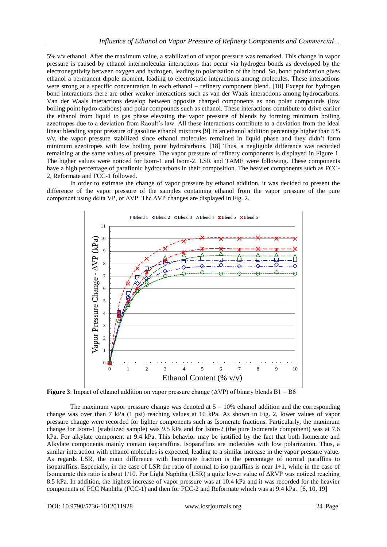5% v/v ethanol. After the maximum value, a stabilization of vapor pressure was remarked. This change in vapor pressure is caused by ethanol intermolecular interactions that occur via hydrogen bonds as developed by the electronegativity between oxygen and hydrogen, leading to polarization of the bond. So, bond polarization gives ethanol a permanent dipole moment, leading to electrostatic interactions among molecules. These interactions were strong at a specific concentration in each ethanol – refinery component blend. [18] Except for hydrogen bond interactions there are other weaker interactions such as van der Waals interactions among hydrocarbons. Van der Waals interactions develop between opposite charged components as non polar compounds (low boiling point hydro-carbons) and polar compounds such as ethanol. These interactions contribute to drive earlier the ethanol from liquid to gas phase elevating the vapor pressure of blends by forming minimum boiling azeotropes due to a deviation from Raoult's law. All these interactions contribute to a deviation from the ideal linear blending vapor pressure of gasoline ethanol mixtures [9] In an ethanol addition percentage higher than 5% v/v, the vapor pressure stabilized since ethanol molecules remained in liquid phase and they didn't form minimum azeotropes with low boiling point hydrocarbons. [18] Thus, a negligible difference was recorded remaining at the same values of pressure. The vapor pressure of refinery components is displayed in Figure 1. The higher values were noticed for Isom-1 and Isom-2. LSR and TAME were following. These components have a high percentage of parafinnic hydrocarbons in their composition. The heavier components such as FCC-2, Reformate and FCC-1 followed.

In order to estimate the change of vapor pressure by ethanol addition, it was decided to present the difference of the vapor pressure of the samples containing ethanol from the vapor pressure of the pure component using delta VP, or  $\Delta VP$ . The  $\Delta VP$  changes are displayed in Fig. 2.



**Figure 3**: Impact of ethanol addition on vapor pressure change (ΔVP) of binary blends B1 – B6

The maximum vapor pressure change was denoted at  $5 - 10\%$  ethanol addition and the corresponding change was over than 7 kPa (1 psi) reaching values at 10 kPa. As shown in Fig. 2, lower values of vapor pressure change were recorded for lighter components such as Isomerate fractions. Particularly, the maximum change for Isom-1 (stabilized sample) was 9.5 kPa and for Isom-2 (the pure Isomerate component) was at 7.6 kPa. For alkylate component at 9.4 kPa. This behavior may be justified by the fact that both Isomerate and Alkylate components mainly contain isoparaffins. Isoparaffins are molecules with low polarization. Thus, a similar interaction with ethanol molecules is expected, leading to a similar increase in the vapor pressure value. As regards LSR, the main difference with Isomerate fraction is the percentage of normal paraffins to isoparaffins. Especially, in the case of LSR the ratio of normal to iso paraffins is near  $1\div 1$ , while in the case of Isomearate this ratio is about 1/10. For Light Naphtha (LSR) a quite lower value of ΔRVP was noticed reaching 8.5 kPa. In addition, the highest increase of vapor pressure was at 10.4 kPa and it was recorded for the heavier components of FCC Naphtha (FCC-1) and then for FCC-2 and Reformate which was at 9.4 kPa. [6, 10, 19]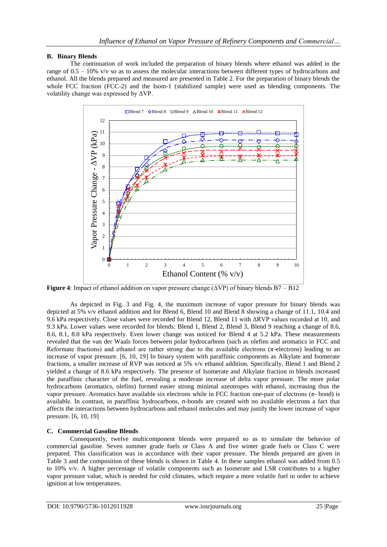# **B. Binary Blends**

The continuation of work included the preparation of binary blends where ethanol was added in the range of 0.5 – 10% v/v so as to assess the molecular interactions between different types of hydrocarbons and ethanol. All the blends prepared and measured are presented in Table 2. For the preparation of binary blends the whole FCC fraction (FCC-2) and the Isom-1 (stabilized sample) were used as blending components. The volatility change was expressed by ΔVP.



**Figure 4**: Impact of ethanol addition on vapor pressure change (ΔVP) of binary blends B7 – B12

As depicted in Fig. 3 and Fig. 4, the maximum increase of vapor pressure for binary blends was depicted at 5% v/v ethanol addition and for Blend 6, Blend 10 and Blend 8 showing a change of 11.1, 10.4 and 9.6 kPa respectively. Close values were recorded for Blend 12, Blend 11 with ΔRVP values recorded at 10, and 9.3 kPa. Lower values were recorded for blends: Blend 1, Blend 2, Blend 3, Blend 9 reaching a change of 8.6, 8.6, 8.1, 8.0 kPa respectively. Even lower change was noticed for Blend 4 at 5.2 kPa. These measurements revealed that the van der Waals forces between polar hydrocarbons (such as olefins and aromatics in FCC and Reformate fractions) and ethanol are rather strong due to the available electrons ( $\pi$ -electrons) leading to an increase of vapor pressure. [6, 10, 19] In binary system with paraffinic components as Alkylate and Isomerate fractions, a smaller increase of RVP was noticed at 5% v/v ethanol addition. Specifically, Blend 1 and Blend 2 yielded a change of 8.6 kPa respectively. The presence of Isomerate and Alkylate fraction in blends increased the paraffinic character of the fuel, revealing a moderate increase of delta vapor pressure. The more polar hydrocarbons (aromatics, olefins) formed easier strong minimal azeotropes with ethanol, increasing thus the vapor pressure. Aromatics have available six electrons while in FCC fraction one-pair of electrons (π- bond) is available. In contrast, in paraffinic hydrocarbons, σ-bonds are created with no available electrons a fact that affects the interactions between hydrocarbons and ethanol molecules and may justify the lower increase of vapor pressure. [6, 10, 19]

# **C. Commercial Gasoline Blends**

Consequently, twelve multicomponent blends were prepared so as to simulate the behavior of commercial gasoline. Seven summer grade fuels or Class A and five winter grade fuels or Class C were prepared. This classification was in accordance with their vapor pressure. The blends prepared are given in Table 3 and the composition of these blends is shown in Table 4. In these samples ethanol was added from 0.5 to 10% v/v. A higher percentage of volatile components such as Isomerate and LSR contributes to a higher vapor pressure value, which is needed for cold climates, which require a more volatile fuel in order to achieve ignition at low temperatures.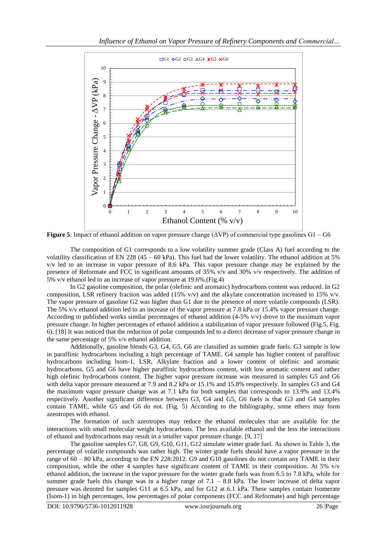

**Figure 5**: Impact of ethanol addition on vapor pressure change  $(\Delta VP)$  of commercial type gasolines G1 – G6

The composition of G1 corresponds to a low volatility summer grade (Class A) fuel according to the volatility classification of EN 228 (45 – 60 kPa). This fuel had the lower volatility. The ethanol addition at 5% v/v led to an increase in vapor pressure of 8.6 kPa. This vapor pressure change may be explained by the presence of Reformate and FCC in significant amounts of 35% v/v and 30% v/v respectively. The addition of 5% v/v ethanol led to an increase of vapor pressure at 19.6%.(Fig.4)

In G2 gasoline composition, the polar (olefinic and aromatic) hydrocarbons content was reduced. In G2 composition, LSR refinery fraction was added (15% v/v) and the alkylate concentration increased to 15% v/v. The vapor pressure of gasoline G2 was higher than G1 due to the presence of more volatile compounds (LSR). The 5% v/v ethanol addition led to an increase of the vapor pressure at 7.8 kPa or 15.4% vapor pressure change. According to published works similar percentages of ethanol addition  $(4-5\% \text{ v/v})$  drove to the maximum vapor pressure change. In higher percentages of ethanol addition a stabilization of vapor pressure followed (Fig.5, Fig. 6). [18] It was noticed that the reduction of polar compounds led to a direct decrease of vapor pressure change in the same percentage of 5% v/v ethanol addition.

Additionally, gasoline blends G3, G4, G5, G6 are classified as summer grade fuels. G3 sample is low in paraffinic hydrocarbons including a high percentage of TAME. G4 sample has higher content of paraffinic hydrocarbons including Isom-1, LSR, Alkylate fraction and a lower content of olefinic and aromatic hydrocarbons. G5 and G6 have higher paraffinic hydrocarbons content, with low aromatic content and rather high olefinic hydrocarbons content. The higher vapor pressure increase was measured in samples G5 and G6 with delta vapor pressure measured at 7.9 and 8.2 kPa or 15.1% and 15.8% respectively. In samples G3 and G4 the maximum vapor pressure change was at 7.1 kPa for both samples that corresponds to 13.9% and 13.4% respectively. Another significant difference between G3, G4 and G5, G6 fuels is that G3 and G4 samples contain TAME, while G5 and G6 do not. (Fig. 5) According to the bibliography, some ethers may form azeotropes with ethanol.

The formation of such azeotropes may reduce the ethanol molecules that are available for the interactions with small molecular weight hydrocarbons. The less available ethanol and the less the interactions of ethanol and hydrocarbons may result in a smaller vapor pressure change. [9, 17]

The gasoline samples G7, G8, G9, G10, G11, G12 simulate winter grade fuel. As shown in Table 3, the percentage of volatile compounds was rather high. The winter grade fuels should have a vapor pressure in the range of 60 – 80 kPa, according to the EN 228:2012. G9 and G10 gasolines do not contain any TAME in their composition, while the other 4 samples have significant content of TAME in their composition. At 5%  $v/v$ ethanol addition, the increase in the vapor pressure for the winter grade fuels was from 6.5 to 7.8 kPa, while for summer grade fuels this change was in a higher range of  $7.1 - 8.8$  kPa. The lower increase of delta vapor pressure was denoted for samples G11 at 6.5 kPa, and for G12 at 6.1 kPa. These samples contain Isomerate (Isom-1) in high percentages, low percentages of polar components (FCC and Reformate) and high percentage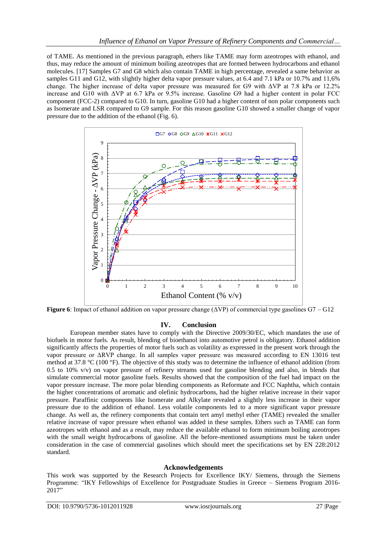of TAME. As mentioned in the previous paragraph, ethers like TAME may form azeotropes with ethanol, and thus, may reduce the amount of minimum boiling azeotropes that are formed between hydrocarbons and ethanol molecules. [17] Samples G7 and G8 which also contain TAME in high percentage, revealed a same behavior as samples G11 and G12, with slightly higher delta vapor pressure values, at 6.4 and 7.1 kPa or 10.7% and 11,6% change. The higher increase of delta vapor pressure was measured for G9 with ΔVP at 7.8 kPa or 12.2% increase and G10 with ΔVP at 6.7 kPa or 9.5% increase. Gasoline G9 had a higher content in polar FCC component (FCC-2) compared to G10. In turn, gasoline G10 had a higher content of non polar components such as Isomerate and LSR compared to G9 sample. For this reason gasoline G10 showed a smaller change of vapor pressure due to the addition of the ethanol (Fig. 6).



**Figure 6**: Impact of ethanol addition on vapor pressure change (ΔVP) of commercial type gasolines G7 – G12

# **IV. Conclusion**

European member states have to comply with the Directive 2009/30/EC, which mandates the use of biofuels in motor fuels. As result, blending of bioethanol into automotive petrol is obligatory. Ethanol addition significantly affects the properties of motor fuels such as volatility as expressed in the present work through the vapor pressure or ΔRVP change. In all samples vapor pressure was measured according to EN 13016 test method at 37.8 °C (100 °F). The objective of this study was to determine the influence of ethanol addition (from 0.5 to 10% v/v) on vapor pressure of refinery streams used for gasoline blending and also, in blends that simulate commercial motor gasoline fuels. Results showed that the composition of the fuel had impact on the vapor pressure increase. The more polar blending components as Reformate and FCC Naphtha, which contain the higher concentrations of aromatic and olefinic hydrocarbons, had the higher relative increase in their vapor pressure. Paraffinic components like Isomerate and Alkylate revealed a slightly less increase in their vapor pressure due to the addition of ethanol. Less volatile components led to a more significant vapor pressure change. As well as, the refinery components that contain tert amyl methyl ether (TAME) revealed the smaller relative increase of vapor pressure when ethanol was added in these samples. Ethers such as TAME can form azeotropes with ethanol and as a result, may reduce the available ethanol to form minimum boiling azeotropes with the small weight hydrocarbons of gasoline. All the before-mentioned assumptions must be taken under consideration in the case of commercial gasolines which should meet the specifications set by EN 228:2012 standard.

#### **Acknowledgements**

This work was supported by the Research Projects for Excellence IKY/ Siemens, through the Siemens Programme: "IKY Fellowships of Excellence for Postgraduate Studies in Greece – Siemens Program 2016- 2017"